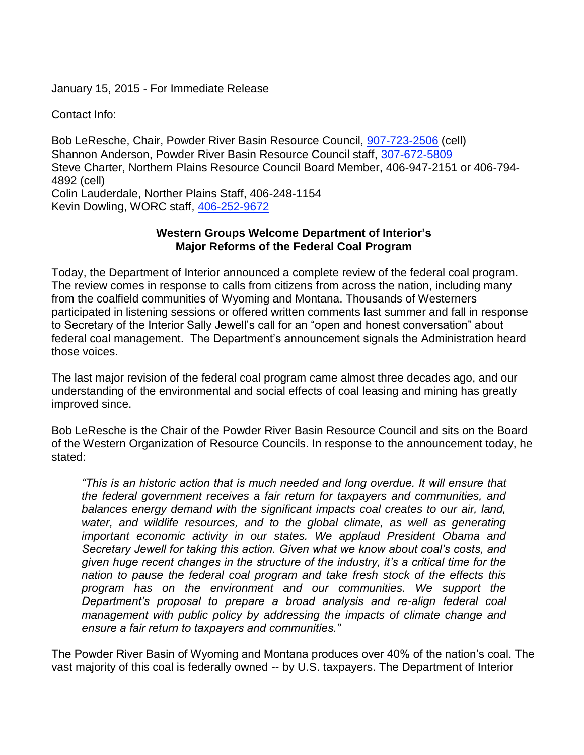January 15, 2015 - For Immediate Release

Contact Info:

Bob LeResche, Chair, Powder River Basin Resource Council, [907-723-2506](tel:907-723-2506) (cell) Shannon Anderson, Powder River Basin Resource Council staff, [307-672-5809](tel:307-672-5809) Steve Charter, Northern Plains Resource Council Board Member, 406-947-2151 or 406-794- 4892 (cell) Colin Lauderdale, Norther Plains Staff, 406-248-1154 Kevin Dowling, WORC staff, [406-252-9672](tel:406-252-9672)

## **Western Groups Welcome Department of Interior's Major Reforms of the Federal Coal Program**

Today, the Department of Interior announced a complete review of the federal coal program. The review comes in response to calls from citizens from across the nation, including many from the coalfield communities of Wyoming and Montana. Thousands of Westerners participated in listening sessions or offered written comments last summer and fall in response to Secretary of the Interior Sally Jewell's call for an "open and honest conversation" about federal coal management. The Department's announcement signals the Administration heard those voices.

The last major revision of the federal coal program came almost three decades ago, and our understanding of the environmental and social effects of coal leasing and mining has greatly improved since.

Bob LeResche is the Chair of the Powder River Basin Resource Council and sits on the Board of the Western Organization of Resource Councils. In response to the announcement today, he stated:

*"This is an historic action that is much needed and long overdue. It will ensure that the federal government receives a fair return for taxpayers and communities, and balances energy demand with the significant impacts coal creates to our air, land,*  water, and wildlife resources, and to the global climate, as well as generating *important economic activity in our states. We applaud President Obama and Secretary Jewell for taking this action. Given what we know about coal's costs, and given huge recent changes in the structure of the industry, it's a critical time for the nation to pause the federal coal program and take fresh stock of the effects this program has on the environment and our communities. We support the Department's proposal to prepare a broad analysis and re-align federal coal management with public policy by addressing the impacts of climate change and ensure a fair return to taxpayers and communities."*

The Powder River Basin of Wyoming and Montana produces over 40% of the nation's coal. The vast majority of this coal is federally owned -- by U.S. taxpayers. The Department of Interior